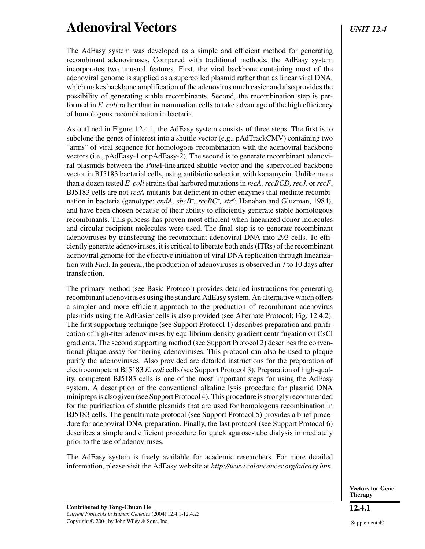# **Adenoviral Vectors** *UNIT 12.4*

The AdEasy system was developed as a simple and efficient method for generating recombinant adenoviruses. Compared with traditional methods, the AdEasy system incorporates two unusual features. First, the viral backbone containing most of the adenoviral genome is supplied as a supercoiled plasmid rather than as linear viral DNA, which makes backbone amplification of the adenovirus much easier and also provides the possibility of generating stable recombinants. Second, the recombination step is performed in *E. coli* rather than in mammalian cells to take advantage of the high efficiency of homologous recombination in bacteria.

As outlined in Figure 12.4.1, the AdEasy system consists of three steps. The first is to subclone the genes of interest into a shuttle vector (e.g., pAdTrackCMV) containing two "arms" of viral sequence for homologous recombination with the adenoviral backbone vectors (i.e., pAdEasy-1 or pAdEasy-2). The second is to generate recombinant adenoviral plasmids between the *Pme*I-linearized shuttle vector and the supercoiled backbone vector in BJ5183 bacterial cells, using antibiotic selection with kanamycin. Unlike more than a dozen tested *E. coli* strains that harbored mutations in *recA, recBCD, recJ,* or *recF*, BJ5183 cells are not *recA* mutants but deficient in other enzymes that mediate recombination in bacteria (genotype: *endA, sbcB<sup>−</sup>, recBC<sup>−</sup>, str<sup>R</sup>; Hanahan and Gluzman, 1984),* and have been chosen because of their ability to efficiently generate stable homologous recombinants. This process has proven most efficient when linearized donor molecules and circular recipient molecules were used. The final step is to generate recombinant adenoviruses by transfecting the recombinant adenoviral DNA into 293 cells. To efficiently generate adenoviruses, it is critical to liberate both ends (ITRs) of the recombinant adenoviral genome for the effective initiation of viral DNA replication through linearization with *Pac*I. In general, the production of adenoviruses is observed in 7 to 10 days after transfection.

The primary method (see Basic Protocol) provides detailed instructions for generating recombinant adenoviruses using the standard AdEasy system. An alternative which offers a simpler and more efficient approach to the production of recombinant adenovirus plasmids using the AdEasier cells is also provided (see Alternate Protocol; Fig. 12.4.2). The first supporting technique (see Support Protocol 1) describes preparation and purification of high-titer adenoviruses by equilibrium density gradient centrifugation on CsCl gradients. The second supporting method (see Support Protocol 2) describes the conventional plaque assay for titering adenoviruses. This protocol can also be used to plaque purify the adenoviruses. Also provided are detailed instructions for the preparation of electrocompetent BJ5183 *E. coli* cells (see Support Protocol 3). Preparation of high-quality, competent BJ5183 cells is one of the most important steps for using the AdEasy system. A description of the conventional alkaline lysis procedure for plasmid DNA minipreps is also given (see Support Protocol 4). This procedure is strongly recommended for the purification of shuttle plasmids that are used for homologous recombination in BJ5183 cells. The penultimate protocol (see Support Protocol 5) provides a brief procedure for adenoviral DNA preparation. Finally, the last protocol (see Support Protocol 6) describes a simple and efficient procedure for quick agarose-tube dialysis immediately prior to the use of adenoviruses.

The AdEasy system is freely available for academic researchers. For more detailed information, please visit the AdEasy website at *http://www.coloncancer.org/adeasy.htm*.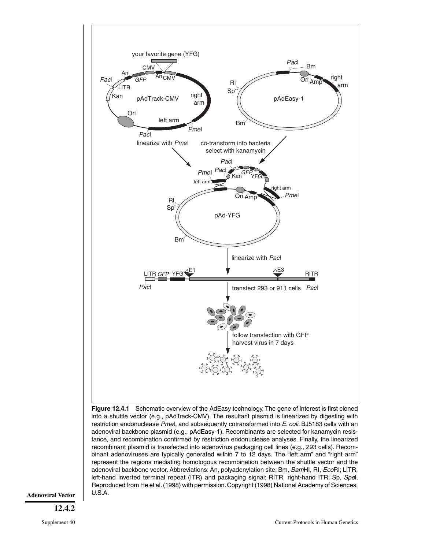

**Figure 12.4.1** Schematic overview of the AdEasy technology. The gene of interest is first cloned into a shuttle vector (e.g., pAdTrack-CMV). The resultant plasmid is linearized by digesting with restriction endonuclease Pmel, and subsequently cotransformed into E. coli. BJ5183 cells with an adenoviral backbone plasmid (e.g., pAdEasy-1). Recombinants are selected for kanamycin resistance, and recombination confirmed by restriction endonuclease analyses. Finally, the linearized recombinant plasmid is transfected into adenovirus packaging cell lines (e.g., 293 cells). Recombinant adenoviruses are typically generated within 7 to 12 days. The "left arm" and "right arm" represent the regions mediating homologous recombination between the shuttle vector and the adenoviral backbone vector. Abbreviations: An, polyadenylation site; Bm, BamHI, RI, EcoRI; LITR, left-hand inverted terminal repeat (ITR) and packaging signal; RITR, right-hand ITR; Sp, Spel. Reproduced from He et al. (1998) with permission. Copyright (1998) National Academy of Sciences, U.S.A.

**Adenoviral Vector**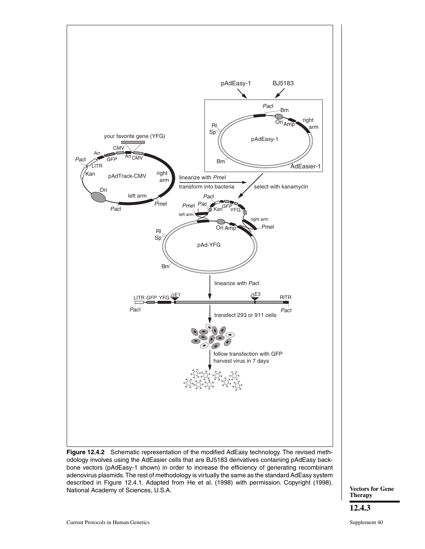

odology involves using the AdEasier cells that are BJ5183 derivatives containing pAdEasy backbone vectors (pAdEasy-1 shown) in order to increase the efficiency of generating recombinant adenovirus plasmids. The rest of methodology is virtually the same as the standard AdEasy system described in Figure 12.4.1. Adapted from He et al. (1998) with permission. Copyright (1998). National Academy of Sciences, U.S.A.

**Vectors for Gene Therapy**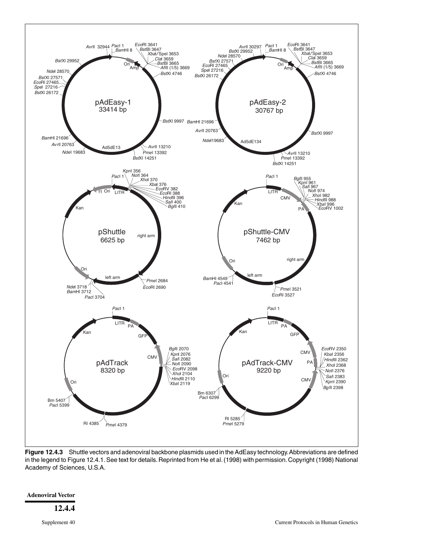

**Figure 12.4.3** Shuttle vectors and adenoviral backbone plasmids used in the AdEasy technology. Abbreviations are defined in the legend to Figure 12.4.1. See text for details. Reprinted from He et al. (1998) with permission. Copyright (1998) National Academy of Sciences, U.S.A.

**Adenoviral Vector**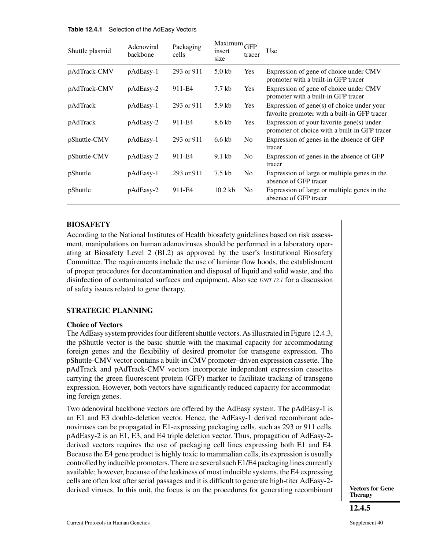|  | Table 12.4.1 Selection of the AdEasy Vectors |  |
|--|----------------------------------------------|--|
|--|----------------------------------------------|--|

| Shuttle plasmid | Adenoviral<br>backbone | Packaging<br>cells | $\overline{\text{Maximum}}$ GFP<br>insert<br>size | tracer         | Use                                                                                           |
|-----------------|------------------------|--------------------|---------------------------------------------------|----------------|-----------------------------------------------------------------------------------------------|
| pAdTrack-CMV    | pAdEasy-1              | 293 or 911         | $5.0$ kb                                          | <b>Yes</b>     | Expression of gene of choice under CMV<br>promoter with a built-in GFP tracer                 |
| pAdTrack-CMV    | pAdEasy-2              | 911-E4             | $7.7$ kb                                          | <b>Yes</b>     | Expression of gene of choice under CMV<br>promoter with a built-in GFP tracer                 |
| pAdTrack        | pAdEasy-1              | 293 or 911         | $5.9$ kb                                          | <b>Yes</b>     | Expression of gene $(s)$ of choice under your<br>favorite promoter with a built-in GFP tracer |
| pAdTrack        | pAdEasy-2              | 911-E4             | 8.6 kb                                            | <b>Yes</b>     | Expression of your favorite gene $(s)$ under<br>promoter of choice with a built-in GFP tracer |
| pShuttle-CMV    | pAdEasy-1              | 293 or 911         | $6.6$ kb                                          | N <sub>0</sub> | Expression of genes in the absence of GFP<br>tracer                                           |
| pShuttle-CMV    | pAdEasy-2              | 911-E4             | 9.1 kb                                            | N <sub>0</sub> | Expression of genes in the absence of GFP<br>tracer                                           |
| pShuttle        | pAdEasy-1              | 293 or 911         | $7.5$ kb                                          | N <sub>0</sub> | Expression of large or multiple genes in the<br>absence of GFP tracer                         |
| pShuttle        | pAdEasy-2              | 911-E4             | $10.2$ kb                                         | N <sub>0</sub> | Expression of large or multiple genes in the<br>absence of GFP tracer                         |

### **BIOSAFETY**

According to the National Institutes of Health biosafety guidelines based on risk assessment, manipulations on human adenoviruses should be performed in a laboratory operating at Biosafety Level 2 (BL2) as approved by the user's Institutional Biosafety Committee. The requirements include the use of laminar flow hoods, the establishment of proper procedures for decontamination and disposal of liquid and solid waste, and the disinfection of contaminated surfaces and equipment. Also see *UNIT 12.1* for a discussion of safety issues related to gene therapy.

# **STRATEGIC PLANNING**

### **Choice of Vectors**

The AdEasy system provides four different shuttle vectors. As illustrated in Figure 12.4.3, the pShuttle vector is the basic shuttle with the maximal capacity for accommodating foreign genes and the flexibility of desired promoter for transgene expression. The pShuttle-CMV vector contains a built-in CMV promoter–driven expression cassette. The pAdTrack and pAdTrack-CMV vectors incorporate independent expression cassettes carrying the green fluorescent protein (GFP) marker to facilitate tracking of transgene expression. However, both vectors have significantly reduced capacity for accommodating foreign genes.

Two adenoviral backbone vectors are offered by the AdEasy system. The pAdEasy-1 is an E1 and E3 double-deletion vector. Hence, the AdEasy-1 derived recombinant adenoviruses can be propagated in E1-expressing packaging cells, such as 293 or 911 cells. pAdEasy-2 is an E1, E3, and E4 triple deletion vector. Thus, propagation of AdEasy-2 derived vectors requires the use of packaging cell lines expressing both E1 and E4. Because the E4 gene product is highly toxic to mammalian cells, its expression is usually controlled by inducible promoters. There are several such E1/E4 packaging lines currently available; however, because of the leakiness of most inducible systems, the E4 expressing cells are often lost after serial passages and it is difficult to generate high-titer AdEasy-2 derived viruses. In this unit, the focus is on the procedures for generating recombinant

**Vectors for Gene Therapy**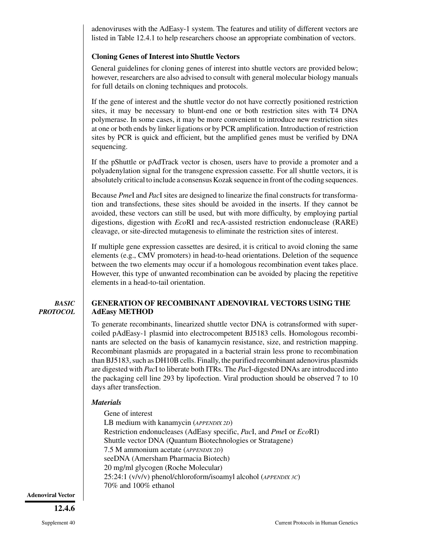adenoviruses with the AdEasy-1 system. The features and utility of different vectors are listed in Table 12.4.1 to help researchers choose an appropriate combination of vectors.

# **Cloning Genes of Interest into Shuttle Vectors**

General guidelines for cloning genes of interest into shuttle vectors are provided below; however, researchers are also advised to consult with general molecular biology manuals for full details on cloning techniques and protocols.

If the gene of interest and the shuttle vector do not have correctly positioned restriction sites, it may be necessary to blunt-end one or both restriction sites with T4 DNA polymerase. In some cases, it may be more convenient to introduce new restriction sites at one or both ends by linker ligations or by PCR amplification. Introduction of restriction sites by PCR is quick and efficient, but the amplified genes must be verified by DNA sequencing.

If the pShuttle or pAdTrack vector is chosen, users have to provide a promoter and a polyadenylation signal for the transgene expression cassette. For all shuttle vectors, it is absolutely critical to include a consensus Kozak sequence in front of the coding sequences.

Because *Pme*I and *Pac*I sites are designed to linearize the final constructs for transformation and transfections, these sites should be avoided in the inserts. If they cannot be avoided, these vectors can still be used, but with more difficulty, by employing partial digestions, digestion with *Eco*RI and recA-assisted restriction endonuclease (RARE) cleavage, or site-directed mutagenesis to eliminate the restriction sites of interest.

If multiple gene expression cassettes are desired, it is critical to avoid cloning the same elements (e.g., CMV promoters) in head-to-head orientations. Deletion of the sequence between the two elements may occur if a homologous recombination event takes place. However, this type of unwanted recombination can be avoided by placing the repetitive elements in a head-to-tail orientation.

*BASIC PROTOCOL*

# **GENERATION OF RECOMBINANT ADENOVIRAL VECTORS USING THE AdEasy METHOD**

To generate recombinants, linearized shuttle vector DNA is cotransformed with supercoiled pAdEasy-1 plasmid into electrocompetent BJ5183 cells. Homologous recombinants are selected on the basis of kanamycin resistance, size, and restriction mapping. Recombinant plasmids are propagated in a bacterial strain less prone to recombination than BJ5183, such as DH10B cells. Finally, the purified recombinant adenovirus plasmids are digested with *Pac*I to liberate both ITRs. The *Pac*I-digested DNAs are introduced into the packaging cell line 293 by lipofection. Viral production should be observed 7 to 10 days after transfection.

# *Materials*

Gene of interest LB medium with kanamycin (*APPENDIX 2D*) Restriction endonucleases (AdEasy specific, *Pac*I, and *Pme*I or *Eco*RI) Shuttle vector DNA (Quantum Biotechnologies or Stratagene) 7.5 M ammonium acetate (*APPENDIX 2D*) seeDNA (Amersham Pharmacia Biotech) 20 mg/ml glycogen (Roche Molecular) 25:24:1 (v/v/v) phenol/chloroform/isoamyl alcohol (*APPENDIX 3C*) 70% and 100% ethanol

**Adenoviral Vector**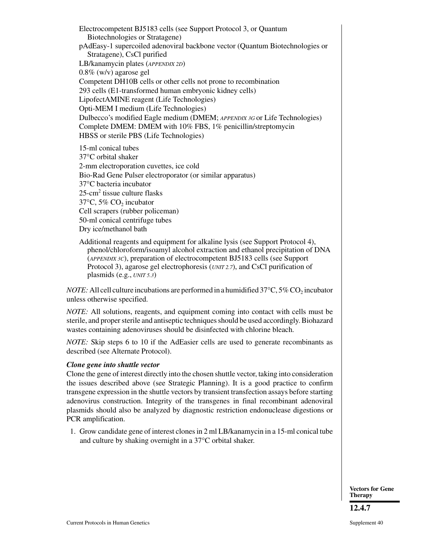Electrocompetent BJ5183 cells (see Support Protocol 3, or Quantum Biotechnologies or Stratagene) pAdEasy-1 supercoiled adenoviral backbone vector (Quantum Biotechnologies or Stratagene), CsCl purified LB/kanamycin plates (*APPENDIX 2D*) 0.8% (w/v) agarose gel Competent DH10B cells or other cells not prone to recombination 293 cells (E1-transformed human embryonic kidney cells) LipofectAMINE reagent (Life Technologies) Opti-MEM I medium (Life Technologies) Dulbecco's modified Eagle medium (DMEM; *APPENDIX 3G* or Life Technologies) Complete DMEM: DMEM with 10% FBS, 1% penicillin/streptomycin HBSS or sterile PBS (Life Technologies)

15-ml conical tubes 37°C orbital shaker 2-mm electroporation cuvettes, ice cold Bio-Rad Gene Pulser electroporator (or similar apparatus) 37°C bacteria incubator 25-cm2 tissue culture flasks 37 $\degree$ C, 5% CO<sub>2</sub> incubator Cell scrapers (rubber policeman) 50-ml conical centrifuge tubes Dry ice/methanol bath

Additional reagents and equipment for alkaline lysis (see Support Protocol 4), phenol/chloroform/isoamyl alcohol extraction and ethanol precipitation of DNA (*APPENDIX 3C*), preparation of electrocompetent BJ5183 cells (see Support Protocol 3), agarose gel electrophoresis (*UNIT 2.7*), and CsCl purification of plasmids (e.g., *UNIT 5.3*)

*NOTE:* All cell culture incubations are performed in a humidified  $37^{\circ}$ C,  $5\%$  CO<sub>2</sub> incubator unless otherwise specified.

*NOTE:* All solutions, reagents, and equipment coming into contact with cells must be sterile, and proper sterile and antiseptic techniques should be used accordingly. Biohazard wastes containing adenoviruses should be disinfected with chlorine bleach.

*NOTE:* Skip steps 6 to 10 if the AdEasier cells are used to generate recombinants as described (see Alternate Protocol).

### *Clone gene into shuttle vector*

Clone the gene of interest directly into the chosen shuttle vector, taking into consideration the issues described above (see Strategic Planning). It is a good practice to confirm transgene expression in the shuttle vectors by transient transfection assays before starting adenovirus construction. Integrity of the transgenes in final recombinant adenoviral plasmids should also be analyzed by diagnostic restriction endonuclease digestions or PCR amplification.

1. Grow candidate gene of interest clones in 2 ml LB/kanamycin in a 15-ml conical tube and culture by shaking overnight in a 37°C orbital shaker.

> **Vectors for Gene Therapy**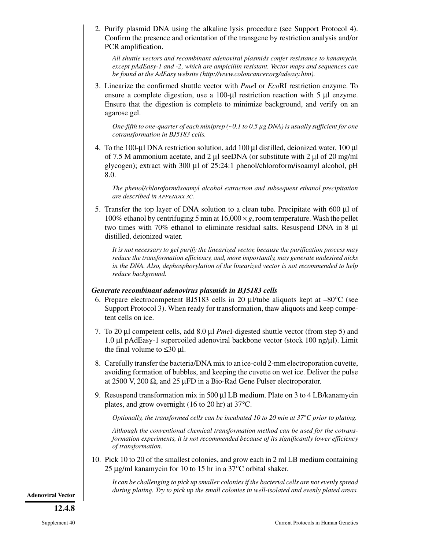2. Purify plasmid DNA using the alkaline lysis procedure (see Support Protocol 4). Confirm the presence and orientation of the transgene by restriction analysis and/or PCR amplification.

*All shuttle vectors and recombinant adenoviral plasmids confer resistance to kanamycin, except pAdEasy-1 and -2, which are ampicillin resistant. Vector maps and sequences can be found at the AdEasy website (http://www.coloncancer.org/adeasy.htm).*

3. Linearize the confirmed shuttle vector with *Pme*I or *Eco*RI restriction enzyme. To ensure a complete digestion, use a 100-µl restriction reaction with 5 µl enzyme. Ensure that the digestion is complete to minimize background, and verify on an agarose gel.

*One-fifth to one-quarter of each miniprep (*∼*0.1 to 0.5 g DNA) is usually sufficient for one cotransformation in BJ5183 cells.*

4. To the 100-µl DNA restriction solution, add 100 µl distilled, deionized water, 100 µl of 7.5 M ammonium acetate, and 2 µl seeDNA (or substitute with 2 µl of 20 mg/ml glycogen); extract with 300 µl of 25:24:1 phenol/chloroform/isoamyl alcohol, pH 8.0.

*The phenol/chloroform/isoamyl alcohol extraction and subsequent ethanol precipitation are described in APPENDIX 3C.*

5. Transfer the top layer of DNA solution to a clean tube. Precipitate with 600 µl of 100% ethanol by centrifuging 5 min at  $16,000 \times g$ , room temperature. Wash the pellet two times with 70% ethanol to eliminate residual salts. Resuspend DNA in 8 µl distilled, deionized water.

*It is not necessary to gel purify the linearized vector, because the purification process may reduce the transformation efficiency, and, more importantly, may generate undesired nicks in the DNA. Also, dephosphorylation of the linearized vector is not recommended to help reduce background.*

### *Generate recombinant adenovirus plasmids in BJ5183 cells*

- 6. Prepare electrocompetent BJ5183 cells in 20  $\mu$ I/tube aliquots kept at  $-80^{\circ}$ C (see Support Protocol 3). When ready for transformation, thaw aliquots and keep competent cells on ice.
- 7. To 20 µl competent cells, add 8.0 µl *Pme*I-digested shuttle vector (from step 5) and 1.0 µl pAdEasy-1 supercoiled adenoviral backbone vector (stock 100 ng/µl). Limit the final volume to  $\leq 30 \mu$ l.
- 8. Carefully transfer the bacteria/DNA mix to an ice-cold 2-mm electroporation cuvette, avoiding formation of bubbles, and keeping the cuvette on wet ice. Deliver the pulse at 2500 V, 200 Ω, and 25 µFD in a Bio-Rad Gene Pulser electroporator.
- 9. Resuspend transformation mix in 500 µl LB medium. Plate on 3 to 4 LB/kanamycin plates, and grow overnight (16 to 20 hr) at 37°C.

*Optionally, the transformed cells can be incubated 10 to 20 min at 37*°*C prior to plating.*

*Although the conventional chemical transformation method can be used for the cotransformation experiments, it is not recommended because of its significantly lower efficiency of transformation.*

10. Pick 10 to 20 of the smallest colonies, and grow each in 2 ml LB medium containing 25 µg/ml kanamycin for 10 to 15 hr in a 37°C orbital shaker.

*It can be challenging to pick up smaller colonies if the bacterial cells are not evenly spread during plating. Try to pick up the small colonies in well-isolated and evenly plated areas.*

**Adenoviral Vector**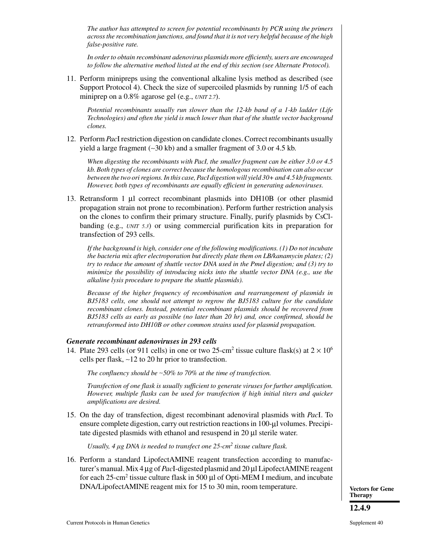*The author has attempted to screen for potential recombinants by PCR using the primers across the recombination junctions, and found that it is not very helpful because of the high false-positive rate.*

*In order to obtain recombinant adenovirus plasmids more efficiently, users are encouraged to follow the alternative method listed at the end of this section (see Alternate Protocol).*

11. Perform minipreps using the conventional alkaline lysis method as described (see Support Protocol 4). Check the size of supercoiled plasmids by running 1/5 of each miniprep on a 0.8% agarose gel (e.g., *UNIT 2.7*).

*Potential recombinants usually run slower than the 12-kb band of a 1-kb ladder (Life Technologies) and often the yield is much lower than that of the shuttle vector background clones.*

12. Perform *Pac*I restriction digestion on candidate clones. Correct recombinants usually yield a large fragment (∼30 kb) and a smaller fragment of 3.0 or 4.5 kb.

*When digesting the recombinants with PacI, the smaller fragment can be either 3.0 or 4.5 kb. Both types of clones are correct because the homologous recombination can also occur between the two ori regions. In this case, PacI digestion will yield 30+ and 4.5 kb fragments. However, both types of recombinants are equally efficient in generating adenoviruses.*

13. Retransform 1 µl correct recombinant plasmids into DH10B (or other plasmid propagation strain not prone to recombination). Perform further restriction analysis on the clones to confirm their primary structure. Finally, purify plasmids by CsClbanding (e.g., *UNIT 5.3*) or using commercial purification kits in preparation for transfection of 293 cells.

*If the background is high, consider one of the following modifications. (1) Do not incubate the bacteria mix after electroporation but directly plate them on LB/kanamycin plates; (2) try to reduce the amount of shuttle vector DNA used in the PmeI digestion; and (3) try to minimize the possibility of introducing nicks into the shuttle vector DNA (e.g., use the alkaline lysis procedure to prepare the shuttle plasmids).*

*Because of the higher frequency of recombination and rearrangement of plasmids in BJ5183 cells, one should not attempt to regrow the BJ5183 culture for the candidate recombinant clones. Instead, potential recombinant plasmids should be recovered from BJ5183 cells as early as possible (no later than 20 hr) and, once confirmed, should be retransformed into DH10B or other common strains used for plasmid propagation.*

#### *Generate recombinant adenoviruses in 293 cells*

14. Plate 293 cells (or 911 cells) in one or two 25-cm<sup>2</sup> tissue culture flask(s) at  $2 \times 10^6$ cells per flask, ∼12 to 20 hr prior to transfection.

*The confluency should be* ∼*50% to 70% at the time of transfection.*

*Transfection of one flask is usually sufficient to generate viruses for further amplification. However, multiple flasks can be used for transfection if high initial titers and quicker amplifications are desired.*

15. On the day of transfection, digest recombinant adenoviral plasmids with *Pac*I. To ensure complete digestion, carry out restriction reactions in 100-µl volumes. Precipitate digested plasmids with ethanol and resuspend in 20 µl sterile water.

Usually, 4  $\mu$ g DNA is needed to transfect one 25-cm<sup>2</sup> tissue culture flask.

16. Perform a standard LipofectAMINE reagent transfection according to manufacturer's manual. Mix 4 µg of *Pac*I-digested plasmid and 20 µl LipofectAMINE reagent for each  $25$ -cm<sup>2</sup> tissue culture flask in 500  $\mu$ l of Opti-MEM I medium, and incubate DNA/LipofectAMINE reagent mix for 15 to 30 min, room temperature.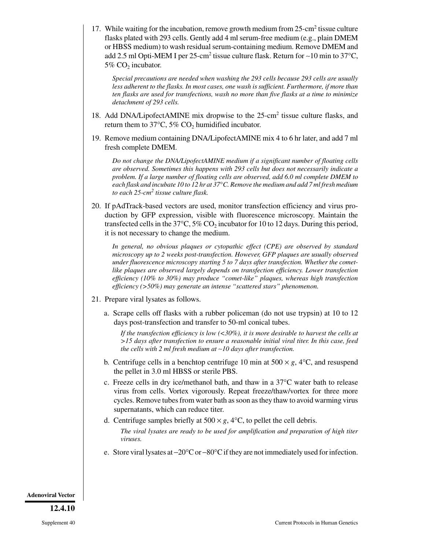17. While waiting for the incubation, remove growth medium from 25-cm<sup>2</sup> tissue culture flasks plated with 293 cells. Gently add 4 ml serum-free medium (e.g., plain DMEM or HBSS medium) to wash residual serum-containing medium. Remove DMEM and add 2.5 ml Opti-MEM I per 25-cm<sup>2</sup> tissue culture flask. Return for ~10 min to 37°C, 5%  $CO<sub>2</sub>$  incubator.

*Special precautions are needed when washing the 293 cells because 293 cells are usually less adherent to the flasks. In most cases, one wash is sufficient. Furthermore, if more than ten flasks are used for transfections, wash no more than five flasks at a time to minimize detachment of 293 cells.*

- 18. Add DNA/LipofectAMINE mix dropwise to the 25-cm<sup>2</sup> tissue culture flasks, and return them to  $37^{\circ}$ C,  $5\%$  CO<sub>2</sub> humidified incubator.
- 19. Remove medium containing DNA/LipofectAMINE mix 4 to 6 hr later, and add 7 ml fresh complete DMEM.

*Do not change the DNA/LipofectAMINE medium if a significant number of floating cells are observed. Sometimes this happens with 293 cells but does not necessarily indicate a problem. If a large number of floating cells are observed, add 6.0 ml complete DMEM to each flask and incubate 10 to 12 hr at 37*°*C. Remove the medium and add 7 ml fresh medium to each 25-cm<sup>2</sup> tissue culture flask.*

20. If pAdTrack-based vectors are used, monitor transfection efficiency and virus production by GFP expression, visible with fluorescence microscopy. Maintain the transfected cells in the 37°C, 5%  $CO_2$  incubator for 10 to 12 days. During this period, it is not necessary to change the medium.

*In general, no obvious plaques or cytopathic effect (CPE) are observed by standard microscopy up to 2 weeks post-transfection. However, GFP plaques are usually observed under fluorescence microscopy starting 5 to 7 days after transfection. Whether the cometlike plaques are observed largely depends on transfection efficiency. Lower transfection efficiency (10% to 30%) may produce "comet-like" plaques, whereas high transfection efficiency (>50%) may generate an intense "scattered stars" phenomenon.*

- 21. Prepare viral lysates as follows.
	- a. Scrape cells off flasks with a rubber policeman (do not use trypsin) at 10 to 12 days post-transfection and transfer to 50-ml conical tubes.

*If the transfection efficiency is low (<30%), it is more desirable to harvest the cells at >15 days after transfection to ensure a reasonable initial viral titer. In this case, feed the cells with 2 ml fresh medium at* ∼*10 days after transfection.*

- b. Centrifuge cells in a benchtop centrifuge 10 min at  $500 \times g$ ,  $4^{\circ}$ C, and resuspend the pellet in 3.0 ml HBSS or sterile PBS.
- c. Freeze cells in dry ice/methanol bath, and thaw in a 37°C water bath to release virus from cells. Vortex vigorously. Repeat freeze/thaw/vortex for three more cycles. Remove tubes from water bath as soon as they thaw to avoid warming virus supernatants, which can reduce titer.
- d. Centrifuge samples briefly at  $500 \times g$ ,  $4^{\circ}$ C, to pellet the cell debris.

*The viral lysates are ready to be used for amplification and preparation of high titer viruses.*

e. Store viral lysates at −20°C or −80°C if they are not immediately used for infection.

**Adenoviral Vector**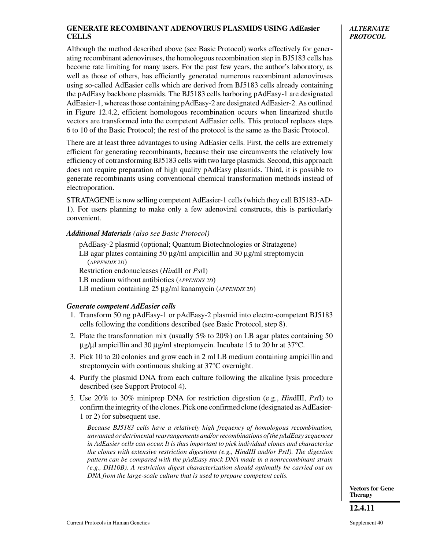# **GENERATE RECOMBINANT ADENOVIRUS PLASMIDS USING AdEasier CELLS**

Although the method described above (see Basic Protocol) works effectively for generating recombinant adenoviruses, the homologous recombination step in BJ5183 cells has become rate limiting for many users. For the past few years, the author's laboratory, as well as those of others, has efficiently generated numerous recombinant adenoviruses using so-called AdEasier cells which are derived from BJ5183 cells already containing the pAdEasy backbone plasmids. The BJ5183 cells harboring pAdEasy-1 are designated AdEasier-1, whereas those containing pAdEasy-2 are designated AdEasier-2. As outlined in Figure 12.4.2, efficient homologous recombination occurs when linearized shuttle vectors are transformed into the competent AdEasier cells. This protocol replaces steps 6 to 10 of the Basic Protocol; the rest of the protocol is the same as the Basic Protocol.

There are at least three advantages to using AdEasier cells. First, the cells are extremely efficient for generating recombinants, because their use circumvents the relatively low efficiency of cotransforming BJ5183 cells with two large plasmids. Second, this approach does not require preparation of high quality pAdEasy plasmids. Third, it is possible to generate recombinants using conventional chemical transformation methods instead of electroporation.

STRATAGENE is now selling competent AdEasier-1 cells (which they call BJ5183-AD-1). For users planning to make only a few adenoviral constructs, this is particularly convenient.

# *Additional Materials (also see Basic Protocol)*

pAdEasy-2 plasmid (optional; Quantum Biotechnologies or Stratagene) LB agar plates containing  $50 \mu g/ml$  ampicillin and  $30 \mu g/ml$  streptomycin (*APPENDIX 2D*) Restriction endonucleases (*Hin*dII or *Pst*I) LB medium without antibiotics (*APPENDIX 2D*)

LB medium containing 25 µg/ml kanamycin (*APPENDIX 2D*)

# *Generate competent AdEasier cells*

- 1. Transform 50 ng pAdEasy-1 or pAdEasy-2 plasmid into electro-competent BJ5183 cells following the conditions described (see Basic Protocol, step 8).
- 2. Plate the transformation mix (usually 5% to 20%) on LB agar plates containing 50  $\mu$ g/ $\mu$ l ampicillin and 30  $\mu$ g/ml streptomycin. Incubate 15 to 20 hr at 37°C.
- 3. Pick 10 to 20 colonies and grow each in 2 ml LB medium containing ampicillin and streptomycin with continuous shaking at 37°C overnight.
- 4. Purify the plasmid DNA from each culture following the alkaline lysis procedure described (see Support Protocol 4).
- 5. Use 20% to 30% miniprep DNA for restriction digestion (e.g., *Hin*dIII, *Pst*I) to confirm the integrity of the clones. Pick one confirmed clone (designated as AdEasier-1 or 2) for subsequent use.

*Because BJ5183 cells have a relatively high frequency of homologous recombination, unwanted or detrimental rearrangements and/or recombinations of the pAdEasy sequences in AdEasier cells can occur. It is thus important to pick individual clones and characterize the clones with extensive restriction digestions (e.g., HindIII and/or PstI). The digestion pattern can be compared with the pAdEasy stock DNA made in a nonrecombinant strain (e.g., DH10B). A restriction digest characterization should optimally be carried out on DNA from the large-scale culture that is used to prepare competent cells.*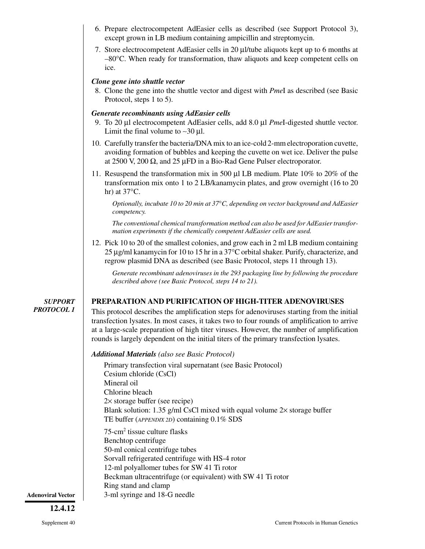- 6. Prepare electrocompetent AdEasier cells as described (see Support Protocol 3), except grown in LB medium containing ampicillin and streptomycin.
- 7. Store electrocompetent AdEasier cells in 20 µl/tube aliquots kept up to 6 months at –80°C. When ready for transformation, thaw aliquots and keep competent cells on ice.

# *Clone gene into shuttle vector*

8. Clone the gene into the shuttle vector and digest with *Pme*I as described (see Basic Protocol, steps 1 to 5).

# *Generate recombinants using AdEasier cells*

- 9. To 20 µl electrocompetent AdEasier cells, add 8.0 µl *Pme*I-digested shuttle vector. Limit the final volume to ~30 µl.
- 10. Carefully transfer the bacteria/DNA mix to an ice-cold 2-mm electroporation cuvette, avoiding formation of bubbles and keeping the cuvette on wet ice. Deliver the pulse at 2500 V, 200  $\Omega$ , and 25 µFD in a Bio-Rad Gene Pulser electroporator.
- 11. Resuspend the transformation mix in 500 µl LB medium. Plate 10% to 20% of the transformation mix onto 1 to 2 LB/kanamycin plates, and grow overnight (16 to 20 hr) at  $37^{\circ}$ C.

*Optionally, incubate 10 to 20 min at 37*°*C, depending on vector background and AdEasier competency.*

*The conventional chemical transformation method can also be used for AdEasier transformation experiments if the chemically competent AdEasier cells are used.*

12. Pick 10 to 20 of the smallest colonies, and grow each in 2 ml LB medium containing 25 µg/ml kanamycin for 10 to 15 hr in a 37°C orbital shaker. Purify, characterize, and regrow plasmid DNA as described (see Basic Protocol, steps 11 through 13).

*Generate recombinant adenoviruses in the 293 packaging line by following the procedure described above (see Basic Protocol, steps 14 to 21).*

*SUPPORT PROTOCOL 1*

# **PREPARATION AND PURIFICATION OF HIGH-TITER ADENOVIRUSES**

This protocol describes the amplification steps for adenoviruses starting from the initial transfection lysates. In most cases, it takes two to four rounds of amplification to arrive at a large-scale preparation of high titer viruses. However, the number of amplification rounds is largely dependent on the initial titers of the primary transfection lysates.

# *Additional Materials (also see Basic Protocol)*

Primary transfection viral supernatant (see Basic Protocol) Cesium chloride (CsCl) Mineral oil Chlorine bleach 2× storage buffer (see recipe) Blank solution: 1.35 g/ml CsCl mixed with equal volume  $2\times$  storage buffer TE buffer (*APPENDIX 2D*) containing 0.1% SDS

75-cm2 tissue culture flasks Benchtop centrifuge 50-ml conical centrifuge tubes Sorvall refrigerated centrifuge with HS-4 rotor 12-ml polyallomer tubes for SW 41 Ti rotor Beckman ultracentrifuge (or equivalent) with SW 41 Ti rotor Ring stand and clamp 3-ml syringe and 18-G needle

**Adenoviral Vector**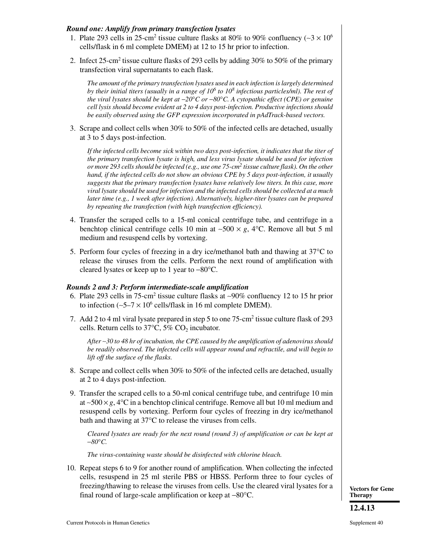### *Round one: Amplify from primary transfection lysates*

- 1. Plate 293 cells in 25-cm<sup>2</sup> tissue culture flasks at 80% to 90% confluency ( $\sim$ 3 × 10<sup>6</sup>) cells/flask in 6 ml complete DMEM) at 12 to 15 hr prior to infection.
- 2. Infect 25-cm<sup>2</sup> tissue culture flasks of 293 cells by adding 30% to 50% of the primary transfection viral supernatants to each flask.

*The amount of the primary transfection lysates used in each infection is largely determined by their initial titers (usually in a range of 10<sup>6</sup> to 10<sup>8</sup> infectious particles/ml). The rest of the viral lysates should be kept at* −*20*°*C or* −*80*°*C. A cytopathic effect (CPE) or genuine cell lysis should become evident at 2 to 4 days post-infection. Productive infections should be easily observed using the GFP expression incorporated in pAdTrack-based vectors.*

3. Scrape and collect cells when 30% to 50% of the infected cells are detached, usually at 3 to 5 days post-infection.

*If the infected cells become sick within two days post-infection, it indicates that the titer of the primary transfection lysate is high, and less virus lysate should be used for infection or more 293 cells should be infected (e.g., use one 75-cm<sup>2</sup> tissue culture flask). On the other hand, if the infected cells do not show an obvious CPE by 5 days post-infection, it usually suggests that the primary transfection lysates have relatively low titers. In this case, more viral lysate should be used for infection and the infected cells should be collected at a much later time (e.g., 1 week after infection). Alternatively, higher-titer lysates can be prepared by repeating the transfection (with high transfection efficiency).*

- 4. Transfer the scraped cells to a 15-ml conical centrifuge tube, and centrifuge in a benchtop clinical centrifuge cells 10 min at ∼500 × *g*, 4°C. Remove all but 5 ml medium and resuspend cells by vortexing.
- 5. Perform four cycles of freezing in a dry ice/methanol bath and thawing at 37°C to release the viruses from the cells. Perform the next round of amplification with cleared lysates or keep up to 1 year to −80°C.

# *Rounds 2 and 3: Perform intermediate-scale amplification*

- 6. Plate 293 cells in 75-cm2 tissue culture flasks at ∼90% confluency 12 to 15 hr prior to infection (~5–7 × 10<sup>6</sup> cells/flask in 16 ml complete DMEM).
- 7. Add 2 to 4 ml viral lysate prepared in step 5 to one 75-cm2 tissue culture flask of 293 cells. Return cells to  $37^{\circ}$ C,  $5\%$  CO<sub>2</sub> incubator.

*After* ∼*30 to 48 hr of incubation, the CPE caused by the amplification of adenovirus should be readily observed. The infected cells will appear round and refractile, and will begin to lift off the surface of the flasks.*

- 8. Scrape and collect cells when 30% to 50% of the infected cells are detached, usually at 2 to 4 days post-infection.
- 9. Transfer the scraped cells to a 50-ml conical centrifuge tube, and centrifuge 10 min at ∼500 × *g*, 4°C in a benchtop clinical centrifuge. Remove all but 10 ml medium and resuspend cells by vortexing. Perform four cycles of freezing in dry ice/methanol bath and thawing at 37°C to release the viruses from cells.

*Cleared lysates are ready for the next round (round 3) of amplification or can be kept at* −*80*°*C.*

*The virus-containing waste should be disinfected with chlorine bleach.*

10. Repeat steps 6 to 9 for another round of amplification. When collecting the infected cells, resuspend in 25 ml sterile PBS or HBSS. Perform three to four cycles of freezing/thawing to release the viruses from cells. Use the cleared viral lysates for a final round of large-scale amplification or keep at −80°C.

**Vectors for Gene Therapy**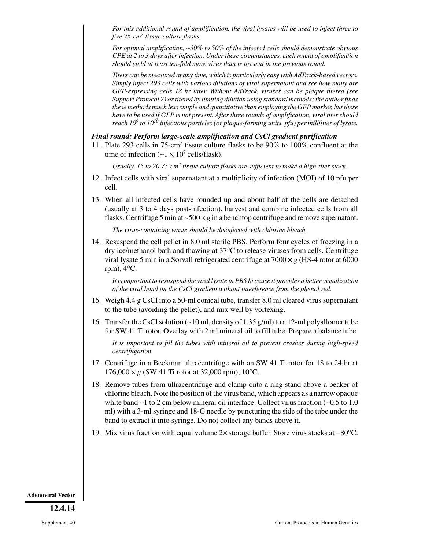*For this additional round of amplification, the viral lysates will be used to infect three to five 75-cm<sup>2</sup> tissue culture flasks.*

*For optimal amplification,* ∼*30% to 50% of the infected cells should demonstrate obvious CPE at 2 to 3 days after infection. Under these circumstances, each round of amplification should yield at least ten-fold more virus than is present in the previous round.*

*Titers can be measured at any time, which is particularly easy with AdTrack-based vectors. Simply infect 293 cells with various dilutions of viral supernatant and see how many are GFP-expressing cells 18 hr later. Without AdTrack, viruses can be plaque titered (see Support Protocol 2) or titered by limiting dilution using standard methods; the author finds these methods much less simple and quantitative than employing the GFP marker, but these have to be used if GFP is not present. After three rounds of amplification, viral titer should reach 10<sup>9</sup> to 1010 infectious particles (or plaque-forming units, pfu) per milliliter of lysate.*

### *Final round: Perform large-scale amplification and CsCl gradient purification*

11. Plate 293 cells in 75-cm2 tissue culture flasks to be 90% to 100% confluent at the time of infection ( $\sim$ 1 × 10<sup>7</sup> cells/flask).

Usually, 15 to 20 75-cm<sup>2</sup> tissue culture flasks are sufficient to make a high-titer stock.

- 12. Infect cells with viral supernatant at a multiplicity of infection (MOI) of 10 pfu per cell.
- 13. When all infected cells have rounded up and about half of the cells are detached (usually at 3 to 4 days post-infection), harvest and combine infected cells from all flasks. Centrifuge 5 min at ∼500 × *g* in a benchtop centrifuge and remove supernatant.

*The virus-containing waste should be disinfected with chlorine bleach.*

14. Resuspend the cell pellet in 8.0 ml sterile PBS. Perform four cycles of freezing in a dry ice/methanol bath and thawing at 37°C to release viruses from cells. Centrifuge viral lysate 5 min in a Sorvall refrigerated centrifuge at  $7000 \times g$  (HS-4 rotor at 6000 rpm),  $4^{\circ}$ C.

*It is important to resuspend the viral lysate in PBS because it provides a better visualization of the viral band on the CsCl gradient without interference from the phenol red.*

- 15. Weigh 4.4 g CsCl into a 50-ml conical tube, transfer 8.0 ml cleared virus supernatant to the tube (avoiding the pellet), and mix well by vortexing.
- 16. Transfer the CsCl solution (∼10 ml, density of 1.35 g/ml) to a 12-ml polyallomer tube for SW 41 Ti rotor. Overlay with 2 ml mineral oil to fill tube. Prepare a balance tube.

*It is important to fill the tubes with mineral oil to prevent crashes during high-speed centrifugation.*

- 17. Centrifuge in a Beckman ultracentrifuge with an SW 41 Ti rotor for 18 to 24 hr at  $176,000 \times g$  (SW 41 Ti rotor at 32,000 rpm), 10<sup>o</sup>C.
- 18. Remove tubes from ultracentrifuge and clamp onto a ring stand above a beaker of chlorine bleach. Note the position of the virus band, which appears as a narrow opaque white band ∼1 to 2 cm below mineral oil interface. Collect virus fraction (∼0.5 to 1.0 ml) with a 3-ml syringe and 18-G needle by puncturing the side of the tube under the band to extract it into syringe. Do not collect any bands above it.
- 19. Mix virus fraction with equal volume 2× storage buffer. Store virus stocks at −80°C.

**Adenoviral Vector**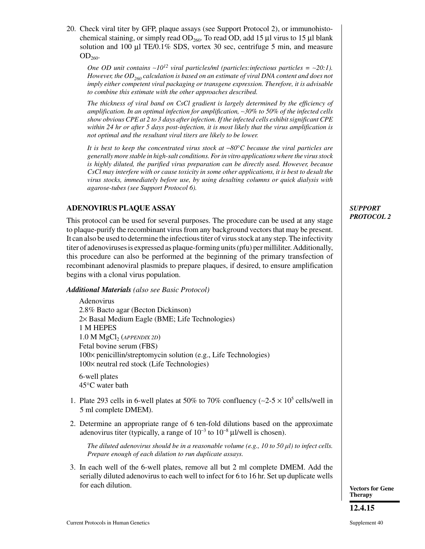20. Check viral titer by GFP, plaque assays (see Support Protocol 2), or immunohistochemical staining, or simply read  $OD_{260}$ . To read OD, add 15 µl virus to 15 µl blank solution and 100 µl TE/0.1% SDS, vortex 30 sec, centrifuge 5 min, and measure  $OD<sub>260</sub>$ .

*One OD unit contains* ∼*1012 viral particles/ml (particles:infectious particles =* ∼*20:1). However, the OD<sub>260</sub> calculation is based on an estimate of viral DNA content and does not imply either competent viral packaging or transgene expression. Therefore, it is advisable to combine this estimate with the other approaches described.*

*The thickness of viral band on CsCl gradient is largely determined by the efficiency of amplification. In an optimal infection for amplification,* ∼*30% to 50% of the infected cells show obvious CPE at 2 to 3 days after infection. If the infected cells exhibit significant CPE within 24 hr or after 5 days post-infection, it is most likely that the virus amplification is not optimal and the resultant viral titers are likely to be lower.*

*It is best to keep the concentrated virus stock at* −*80*°*C because the viral particles are generally more stable in high-salt conditions. For in vitro applications where the virus stock is highly diluted, the purified virus preparation can be directly used. However, because CsCl may interfere with or cause toxicity in some other applications, it is best to desalt the virus stocks, immediately before use, by using desalting columns or quick dialysis with agarose-tubes (see Support Protocol 6).*

# **ADENOVIRUS PLAQUE ASSAY**

This protocol can be used for several purposes. The procedure can be used at any stage to plaque-purify the recombinant virus from any background vectors that may be present. It can also be used to determine the infectious titer of virus stock at any step. The infectivity titer of adenoviruses is expressed as plaque-forming units (pfu) per milliliter. Additionally, this procedure can also be performed at the beginning of the primary transfection of recombinant adenoviral plasmids to prepare plaques, if desired, to ensure amplification begins with a clonal virus population.

*Additional Materials (also see Basic Protocol)*

Adenovirus 2.8% Bacto agar (Becton Dickinson) 2× Basal Medium Eagle (BME; Life Technologies) 1 M HEPES 1.0 M MgCl2 (*APPENDIX 2D*) Fetal bovine serum (FBS) 100× penicillin/streptomycin solution (e.g., Life Technologies) 100× neutral red stock (Life Technologies)

6-well plates 45°C water bath

- 1. Plate 293 cells in 6-well plates at 50% to 70% confluency ( $\sim$ 2-5 × 10<sup>5</sup> cells/well in 5 ml complete DMEM).
- 2. Determine an appropriate range of 6 ten-fold dilutions based on the approximate adenovirus titer (typically, a range of  $10^{-3}$  to  $10^{-8}$  µl/well is chosen).

The diluted adenovirus should be in a reasonable volume (e.g., 10 to 50  $\mu$ l) to infect cells. *Prepare enough of each dilution to run duplicate assays.*

3. In each well of the 6-well plates, remove all but 2 ml complete DMEM. Add the serially diluted adenovirus to each well to infect for 6 to 16 hr. Set up duplicate wells for each dilution.

**Vectors for Gene Therapy**

# *SUPPORT PROTOCOL 2*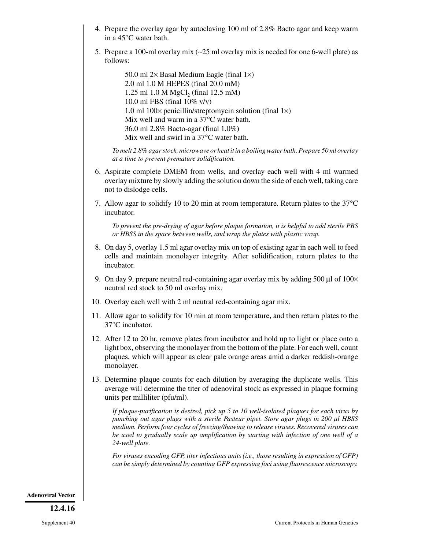- 4. Prepare the overlay agar by autoclaving 100 ml of 2.8% Bacto agar and keep warm in a 45°C water bath.
- 5. Prepare a 100-ml overlay mix (∼25 ml overlay mix is needed for one 6-well plate) as follows:

50.0 ml 2× Basal Medium Eagle (final 1×) 2.0 ml 1.0 M HEPES (final 20.0 mM) 1.25 ml  $1.0 M MgCl<sub>2</sub>$  (final 12.5 mM) 10.0 ml FBS (final 10% v/v) 1.0 ml 100× penicillin/streptomycin solution (final 1×) Mix well and warm in a 37°C water bath. 36.0 ml 2.8% Bacto-agar (final 1.0%) Mix well and swirl in a 37°C water bath.

*To melt 2.8% agar stock, microwave or heat it in a boiling water bath. Prepare 50 ml overlay at a time to prevent premature solidification.*

- 6. Aspirate complete DMEM from wells, and overlay each well with 4 ml warmed overlay mixture by slowly adding the solution down the side of each well, taking care not to dislodge cells.
- 7. Allow agar to solidify 10 to 20 min at room temperature. Return plates to the 37°C incubator.

*To prevent the pre-drying of agar before plaque formation, it is helpful to add sterile PBS or HBSS in the space between wells, and wrap the plates with plastic wrap.*

- 8. On day 5, overlay 1.5 ml agar overlay mix on top of existing agar in each well to feed cells and maintain monolayer integrity. After solidification, return plates to the incubator.
- 9. On day 9, prepare neutral red-containing agar overlay mix by adding 500  $\mu$ l of 100 $\times$ neutral red stock to 50 ml overlay mix.
- 10. Overlay each well with 2 ml neutral red-containing agar mix.
- 11. Allow agar to solidify for 10 min at room temperature, and then return plates to the 37°C incubator.
- 12. After 12 to 20 hr, remove plates from incubator and hold up to light or place onto a light box, observing the monolayer from the bottom of the plate. For each well, count plaques, which will appear as clear pale orange areas amid a darker reddish-orange monolayer.
- 13. Determine plaque counts for each dilution by averaging the duplicate wells. This average will determine the titer of adenoviral stock as expressed in plaque forming units per milliliter (pfu/ml).

*If plaque-purification is desired, pick up 5 to 10 well-isolated plaques for each virus by punching out agar plugs with a sterile Pasteur pipet. Store agar plugs in 200*  $\mu$ *l HBSS medium. Perform four cycles of freezing/thawing to release viruses. Recovered viruses can be used to gradually scale up amplification by starting with infection of one well of a 24-well plate.*

*For viruses encoding GFP, titer infectious units (i.e., those resulting in expression of GFP) can be simply determined by counting GFP expressing foci using fluorescence microscopy.*

**Adenoviral Vector**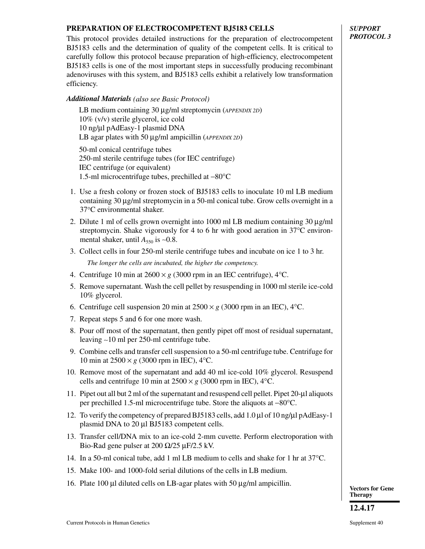# **PREPARATION OF ELECTROCOMPETENT BJ5183 CELLS**

This protocol provides detailed instructions for the preparation of electrocompetent BJ5183 cells and the determination of quality of the competent cells. It is critical to carefully follow this protocol because preparation of high-efficiency, electrocompetent BJ5183 cells is one of the most important steps in successfully producing recombinant adenoviruses with this system, and BJ5183 cells exhibit a relatively low transformation efficiency.

# *Additional Materials (also see Basic Protocol)*

LB medium containing 30 µg/ml streptomycin (*APPENDIX 2D*) 10% (v/v) sterile glycerol, ice cold 10 ng/µl pAdEasy-1 plasmid DNA LB agar plates with 50 µg/ml ampicillin (*APPENDIX 2D*)

50-ml conical centrifuge tubes 250-ml sterile centrifuge tubes (for IEC centrifuge) IEC centrifuge (or equivalent) 1.5-ml microcentrifuge tubes, prechilled at −80°C

- 1. Use a fresh colony or frozen stock of BJ5183 cells to inoculate 10 ml LB medium containing 30 µg/ml streptomycin in a 50-ml conical tube. Grow cells overnight in a 37°C environmental shaker.
- 2. Dilute 1 ml of cells grown overnight into 1000 ml LB medium containing  $30 \mu g/ml$ streptomycin. Shake vigorously for 4 to 6 hr with good aeration in 37°C environmental shaker, until  $A_{550}$  is ~0.8.
- 3. Collect cells in four 250-ml sterile centrifuge tubes and incubate on ice 1 to 3 hr. *The longer the cells are incubated, the higher the competency.*
- 4. Centrifuge 10 min at  $2600 \times g$  (3000 rpm in an IEC centrifuge), 4<sup>o</sup>C.
- 5. Remove supernatant. Wash the cell pellet by resuspending in 1000 ml sterile ice-cold 10% glycerol.
- 6. Centrifuge cell suspension 20 min at  $2500 \times g$  (3000 rpm in an IEC), 4<sup>o</sup>C.
- 7. Repeat steps 5 and 6 for one more wash.
- 8. Pour off most of the supernatant, then gently pipet off most of residual supernatant, leaving ∼10 ml per 250-ml centrifuge tube.
- 9. Combine cells and transfer cell suspension to a 50-ml centrifuge tube. Centrifuge for 10 min at  $2500 \times g$  (3000 rpm in IEC), 4<sup>o</sup>C.
- 10. Remove most of the supernatant and add 40 ml ice-cold 10% glycerol. Resuspend cells and centrifuge 10 min at  $2500 \times g$  (3000 rpm in IEC), 4<sup>o</sup>C.
- 11. Pipet out all but 2 ml of the supernatant and resuspend cell pellet. Pipet 20-µl aliquots per prechilled 1.5-ml microcentrifuge tube. Store the aliquots at −80°C.
- 12. To verify the competency of prepared BJ5183 cells, add 1.0 µl of 10 ng/µl pAdEasy-1 plasmid DNA to 20 µl BJ5183 competent cells.
- 13. Transfer cell/DNA mix to an ice-cold 2-mm cuvette. Perform electroporation with Bio-Rad gene pulser at 200 Ω/25 µF/2.5 kV.
- 14. In a 50-ml conical tube, add 1 ml LB medium to cells and shake for 1 hr at 37°C.
- 15. Make 100- and 1000-fold serial dilutions of the cells in LB medium.
- 16. Plate 100 µl diluted cells on LB-agar plates with 50 µg/ml ampicillin.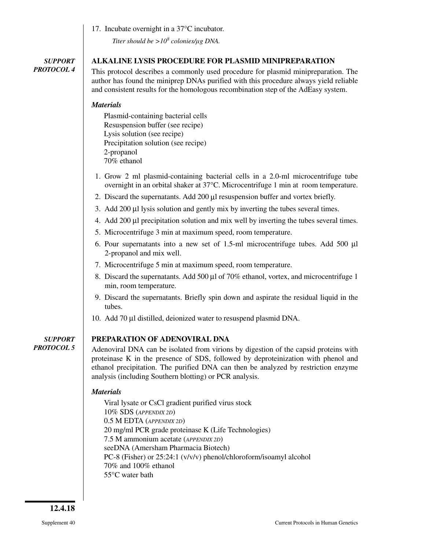17. Incubate overnight in a 37°C incubator.

*Titer should be >108 colonies/g DNA.*

*SUPPORT PROTOCOL 4*

# **ALKALINE LYSIS PROCEDURE FOR PLASMID MINIPREPARATION**

This protocol describes a commonly used procedure for plasmid minipreparation. The author has found the miniprep DNAs purified with this procedure always yield reliable and consistent results for the homologous recombination step of the AdEasy system.

# *Materials*

Plasmid-containing bacterial cells Resuspension buffer (see recipe) Lysis solution (see recipe) Precipitation solution (see recipe) 2-propanol 70% ethanol

- 1. Grow 2 ml plasmid-containing bacterial cells in a 2.0-ml microcentrifuge tube overnight in an orbital shaker at 37°C. Microcentrifuge 1 min at room temperature.
- 2. Discard the supernatants. Add 200 µl resuspension buffer and vortex briefly.
- 3. Add 200 µl lysis solution and gently mix by inverting the tubes several times.
- 4. Add 200 µl precipitation solution and mix well by inverting the tubes several times.
- 5. Microcentrifuge 3 min at maximum speed, room temperature.
- 6. Pour supernatants into a new set of 1.5-ml microcentrifuge tubes. Add 500 µl 2-propanol and mix well.
- 7. Microcentrifuge 5 min at maximum speed, room temperature.
- 8. Discard the supernatants. Add 500  $\mu$ l of 70% ethanol, vortex, and microcentrifuge 1 min, room temperature.
- 9. Discard the supernatants. Briefly spin down and aspirate the residual liquid in the tubes.
- 10. Add 70 µl distilled, deionized water to resuspend plasmid DNA.

### *SUPPORT PROTOCOL 5*

# **PREPARATION OF ADENOVIRAL DNA**

Adenoviral DNA can be isolated from virions by digestion of the capsid proteins with proteinase K in the presence of SDS, followed by deproteinization with phenol and ethanol precipitation. The purified DNA can then be analyzed by restriction enzyme analysis (including Southern blotting) or PCR analysis.

# *Materials*

Viral lysate or CsCl gradient purified virus stock 10% SDS (*APPENDIX 2D*) 0.5 M EDTA (*APPENDIX 2D*) 20 mg/ml PCR grade proteinase K (Life Technologies) 7.5 M ammonium acetate (*APPENDIX 2D*) seeDNA (Amersham Pharmacia Biotech) PC-8 (Fisher) or 25:24:1 (v/v/v) phenol/chloroform/isoamyl alcohol 70% and 100% ethanol 55°C water bath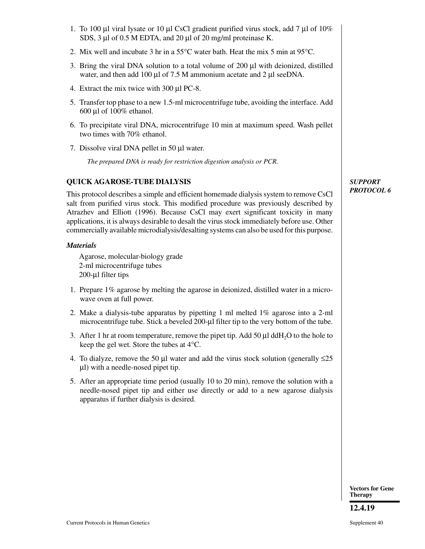- 1. To 100 µl viral lysate or 10 µl CsCl gradient purified virus stock, add 7 µl of  $10\%$ SDS, 3 µl of 0.5 M EDTA, and 20 µl of 20 mg/ml proteinase K.
- 2. Mix well and incubate 3 hr in a 55°C water bath. Heat the mix 5 min at 95°C.
- 3. Bring the viral DNA solution to a total volume of 200 µl with deionized, distilled water, and then add 100 µl of 7.5 M ammonium acetate and 2 µl seeDNA.
- 4. Extract the mix twice with 300 µl PC-8.
- 5. Transfer top phase to a new 1.5-ml microcentrifuge tube, avoiding the interface. Add 600 µl of  $100\%$  ethanol.
- 6. To precipitate viral DNA, microcentrifuge 10 min at maximum speed. Wash pellet two times with 70% ethanol.
- 7. Dissolve viral DNA pellet in 50 µl water.

*The prepared DNA is ready for restriction digestion analysis or PCR.*

# **QUICK AGAROSE-TUBE DIALYSIS**

This protocol describes a simple and efficient homemade dialysis system to remove CsCl salt from purified virus stock. This modified procedure was previously described by Atrazhev and Elliott (1996). Because CsCl may exert significant toxicity in many applications, it is always desirable to desalt the virus stock immediately before use. Other commercially available microdialysis/desalting systems can also be used for this purpose.

# *Materials*

Agarose, molecular-biology grade 2-ml microcentrifuge tubes 200-µl filter tips

- 1. Prepare 1% agarose by melting the agarose in deionized, distilled water in a microwave oven at full power.
- 2. Make a dialysis-tube apparatus by pipetting 1 ml melted 1% agarose into a 2-ml microcentrifuge tube. Stick a beveled 200-µl filter tip to the very bottom of the tube.
- 3. After 1 hr at room temperature, remove the pipet tip. Add 50  $\mu$ l ddH<sub>2</sub>O to the hole to keep the gel wet. Store the tubes at 4°C.
- 4. To dialyze, remove the 50  $\mu$ l water and add the virus stock solution (generally  $\leq 25$ µl) with a needle-nosed pipet tip.
- 5. After an appropriate time period (usually 10 to 20 min), remove the solution with a needle-nosed pipet tip and either use directly or add to a new agarose dialysis apparatus if further dialysis is desired.

### *SUPPORT PROTOCOL 6*

**Vectors for Gene Therapy**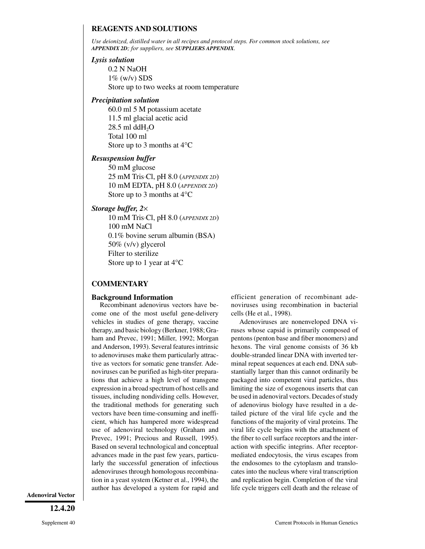### **REAGENTS AND SOLUTIONS**

*Use deionized, distilled water in all recipes and protocol steps. For common stock solutions, see APPENDIX 2D; for suppliers, see SUPPLIERS APPENDIX.*

#### *Lysis solution*

0.2 N NaOH  $1\%$  (w/v) SDS Store up to two weeks at room temperature

#### *Precipitation solution*

60.0 ml 5 M potassium acetate 11.5 ml glacial acetic acid  $28.5$  ml ddH<sub>2</sub>O Total 100 ml Store up to 3 months at 4°C

### *Resuspension buffer*

50 mM glucose 25 mM Tris⋅Cl, pH 8.0 (*APPENDIX 2D*) 10 mM EDTA, pH 8.0 (*APPENDIX 2D*) Store up to 3 months at 4°C

### *Storage buffer, 2*×

10 mM Tris⋅Cl, pH 8.0 (*APPENDIX 2D*) 100 mM NaCl 0.1% bovine serum albumin (BSA) 50% (v/v) glycerol Filter to sterilize Store up to 1 year at 4°C

### **COMMENTARY**

#### **Background Information**

Recombinant adenovirus vectors have become one of the most useful gene-delivery vehicles in studies of gene therapy, vaccine therapy, and basic biology (Berkner, 1988; Graham and Prevec, 1991; Miller, 1992; Morgan and Anderson, 1993). Several features intrinsic to adenoviruses make them particularly attractive as vectors for somatic gene transfer. Adenoviruses can be purified as high-titer preparations that achieve a high level of transgene expression in a broad spectrum of host cells and tissues, including nondividing cells. However, the traditional methods for generating such vectors have been time-consuming and inefficient, which has hampered more widespread use of adenoviral technology (Graham and Prevec, 1991; Precious and Russell, 1995). Based on several technological and conceptual advances made in the past few years, particularly the successful generation of infectious adenoviruses through homologous recombination in a yeast system (Ketner et al., 1994), the author has developed a system for rapid and efficient generation of recombinant adenoviruses using recombination in bacterial cells (He et al., 1998).

Adenoviruses are nonenveloped DNA viruses whose capsid is primarily composed of pentons (penton base and fiber monomers) and hexons. The viral genome consists of 36 kb double-stranded linear DNA with inverted terminal repeat sequences at each end. DNA substantially larger than this cannot ordinarily be packaged into competent viral particles, thus limiting the size of exogenous inserts that can be used in adenoviral vectors. Decades of study of adenovirus biology have resulted in a detailed picture of the viral life cycle and the functions of the majority of viral proteins. The viral life cycle begins with the attachment of the fiber to cell surface receptors and the interaction with specific integrins. After receptormediated endocytosis, the virus escapes from the endosomes to the cytoplasm and translocates into the nucleus where viral transcription and replication begin. Completion of the viral life cycle triggers cell death and the release of

**Adenoviral Vector**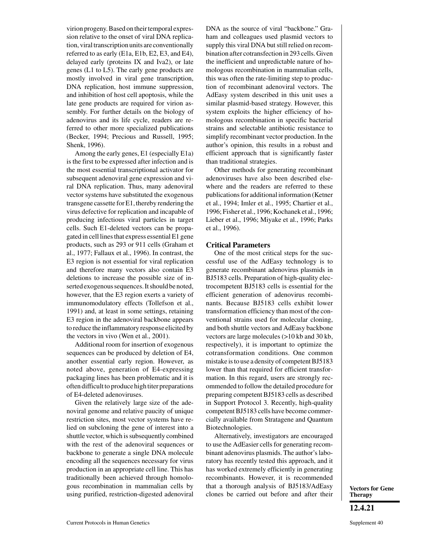virion progeny. Based on their temporal expression relative to the onset of viral DNA replication, viral transcription units are conventionally referred to as early (E1a, E1b, E2, E3, and E4), delayed early (proteins IX and Iva2), or late genes (L1 to L5). The early gene products are mostly involved in viral gene transcription, DNA replication, host immune suppression, and inhibition of host cell apoptosis, while the late gene products are required for virion assembly. For further details on the biology of adenovirus and its life cycle, readers are referred to other more specialized publications (Becker, 1994; Precious and Russell, 1995; Shenk, 1996).

Among the early genes, E1 (especially E1a) is the first to be expressed after infection and is the most essential transcriptional activator for subsequent adenoviral gene expression and viral DNA replication. Thus, many adenoviral vector systems have substituted the exogenous transgene cassette for E1, thereby rendering the virus defective for replication and incapable of producing infectious viral particles in target cells. Such E1-deleted vectors can be propagated in cell lines that express essential E1 gene products, such as 293 or 911 cells (Graham et al., 1977; Fallaux et al., 1996). In contrast, the E3 region is not essential for viral replication and therefore many vectors also contain E3 deletions to increase the possible size of inserted exogenous sequences. It should be noted, however, that the E3 region exerts a variety of immunomodulatory effects (Tollefson et al., 1991) and, at least in some settings, retaining E3 region in the adenoviral backbone appears to reduce the inflammatory response elicited by the vectors in vivo (Wen et al., 2001).

Additional room for insertion of exogenous sequences can be produced by deletion of E4, another essential early region. However, as noted above, generation of E4-expressing packaging lines has been problematic and it is often difficult to produce high titer preparations of E4-deleted adenoviruses.

Given the relatively large size of the adenoviral genome and relative paucity of unique restriction sites, most vector systems have relied on subcloning the gene of interest into a shuttle vector, which is subsequently combined with the rest of the adenoviral sequences or backbone to generate a single DNA molecule encoding all the sequences necessary for virus production in an appropriate cell line. This has traditionally been achieved through homologous recombination in mammalian cells by using purified, restriction-digested adenoviral

DNA as the source of viral "backbone." Graham and colleagues used plasmid vectors to supply this viral DNA but still relied on recombination after cotransfection in 293 cells. Given the inefficient and unpredictable nature of homologous recombination in mammalian cells, this was often the rate-limiting step to production of recombinant adenoviral vectors. The AdEasy system described in this unit uses a similar plasmid-based strategy. However, this system exploits the higher efficiency of homologous recombination in specific bacterial strains and selectable antibiotic resistance to simplify recombinant vector production. In the author's opinion, this results in a robust and efficient approach that is significantly faster than traditional strategies.

Other methods for generating recombinant adenoviruses have also been described elsewhere and the readers are referred to these publications for additional information (Ketner et al., 1994; Imler et al., 1995; Chartier et al., 1996; Fisher et al., 1996; Kochanek et al., 1996; Lieber et al., 1996; Miyake et al., 1996; Parks et al., 1996).

#### **Critical Parameters**

One of the most critical steps for the successful use of the AdEasy technology is to generate recombinant adenovirus plasmids in BJ5183 cells. Preparation of high-quality electrocompetent BJ5183 cells is essential for the efficient generation of adenovirus recombinants. Because BJ5183 cells exhibit lower transformation efficiency than most of the conventional strains used for molecular cloning, and both shuttle vectors and AdEasy backbone vectors are large molecules (>10 kb and 30 kb, respectively), it is important to optimize the cotransformation conditions. One common mistake is to use a density of competent BJ5183 lower than that required for efficient transformation. In this regard, users are strongly recommended to follow the detailed procedure for preparing competent BJ5183 cells as described in Support Protocol 3. Recently, high-quality competent BJ5183 cells have become commercially available from Stratagene and Quantum Biotechnologies.

Alternatively, investigators are encouraged to use the AdEasier cells for generating recombinant adenovirus plasmids. The author's laboratory has recently tested this approach, and it has worked extremely efficiently in generating recombinants. However, it is recommended that a thorough analysis of BJ5183/AdEasy clones be carried out before and after their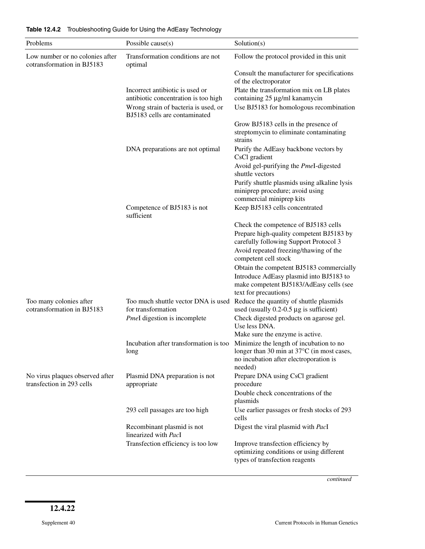| Problems                                                      | Possible cause(s)                                                       | Solution(s)                                                                                                                                |
|---------------------------------------------------------------|-------------------------------------------------------------------------|--------------------------------------------------------------------------------------------------------------------------------------------|
| Low number or no colonies after<br>cotransformation in BJ5183 | Transformation conditions are not<br>optimal                            | Follow the protocol provided in this unit                                                                                                  |
|                                                               |                                                                         | Consult the manufacturer for specifications<br>of the electroporator                                                                       |
|                                                               | Incorrect antibiotic is used or<br>antibiotic concentration is too high | Plate the transformation mix on LB plates<br>containing 25 µg/ml kanamycin                                                                 |
|                                                               | Wrong strain of bacteria is used, or<br>BJ5183 cells are contaminated   | Use BJ5183 for homologous recombination                                                                                                    |
|                                                               |                                                                         | Grow BJ5183 cells in the presence of<br>streptomycin to eliminate contaminating<br>strains                                                 |
|                                                               | DNA preparations are not optimal                                        | Purify the AdEasy backbone vectors by<br>CsCl gradient                                                                                     |
|                                                               |                                                                         | Avoid gel-purifying the PmeI-digested<br>shuttle vectors                                                                                   |
|                                                               |                                                                         | Purify shuttle plasmids using alkaline lysis<br>miniprep procedure; avoid using<br>commercial miniprep kits                                |
|                                                               | Competence of BJ5183 is not<br>sufficient                               | Keep BJ5183 cells concentrated                                                                                                             |
|                                                               |                                                                         | Check the competence of BJ5183 cells                                                                                                       |
|                                                               |                                                                         | Prepare high-quality competent BJ5183 by<br>carefully following Support Protocol 3                                                         |
|                                                               |                                                                         | Avoid repeated freezing/thawing of the<br>competent cell stock                                                                             |
|                                                               |                                                                         | Obtain the competent BJ5183 commercially                                                                                                   |
|                                                               |                                                                         | Introduce AdEasy plasmid into BJ5183 to<br>make competent BJ5183/AdEasy cells (see                                                         |
| Too many colonies after                                       | Too much shuttle vector DNA is used                                     | text for precautions)<br>Reduce the quantity of shuttle plasmids                                                                           |
| cotransformation in BJ5183                                    | for transformation                                                      | used (usually $0.2$ -0.5 $\mu$ g is sufficient)                                                                                            |
|                                                               | PmeI digestion is incomplete                                            | Check digested products on agarose gel.<br>Use less DNA.                                                                                   |
|                                                               |                                                                         | Make sure the enzyme is active.                                                                                                            |
|                                                               | Incubation after transformation is too<br>long                          | Minimize the length of incubation to no<br>longer than 30 min at 37°C (in most cases,<br>no incubation after electroporation is<br>needed) |
| No virus plaques observed after<br>transfection in 293 cells  | Plasmid DNA preparation is not<br>appropriate                           | Prepare DNA using CsCl gradient<br>procedure                                                                                               |
|                                                               |                                                                         | Double check concentrations of the<br>plasmids                                                                                             |
|                                                               | 293 cell passages are too high                                          | Use earlier passages or fresh stocks of 293<br>cells                                                                                       |
|                                                               | Recombinant plasmid is not<br>linearized with PacI                      | Digest the viral plasmid with PacI                                                                                                         |
|                                                               | Transfection efficiency is too low                                      | Improve transfection efficiency by<br>optimizing conditions or using different<br>types of transfection reagents                           |

### **Table 12.4.2** Troubleshooting Guide for Using the AdEasy Technology

*continued*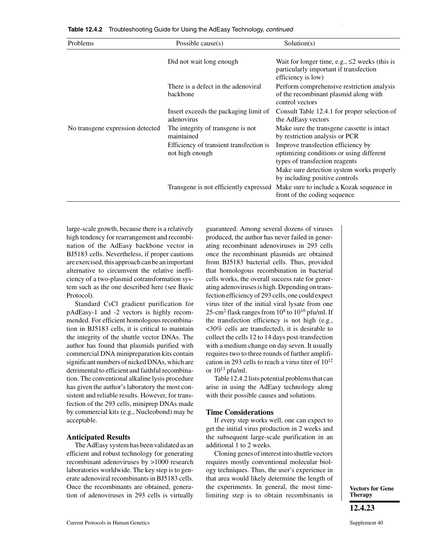|  |  | Table 12.4.2 Troubleshooting Guide for Using the AdEasy Technology, continued |  |  |
|--|--|-------------------------------------------------------------------------------|--|--|
|--|--|-------------------------------------------------------------------------------|--|--|

| Problems                         | Possible cause $(s)$                                       | Solution(s)                                                                                                         |
|----------------------------------|------------------------------------------------------------|---------------------------------------------------------------------------------------------------------------------|
|                                  | Did not wait long enough                                   | Wait for longer time, e.g., $\leq$ 2 weeks (this is<br>particularly important if transfection<br>efficiency is low) |
|                                  | There is a defect in the adenoviral<br>backbone            | Perform comprehensive restriction analysis<br>of the recombinant plasmid along with<br>control vectors              |
|                                  | Insert exceeds the packaging limit of<br>adenovirus        | Consult Table 12.4.1 for proper selection of<br>the AdEasy vectors                                                  |
| No transgene expression detected | The integrity of transgene is not<br>maintained            | Make sure the transgene cassette is intact.<br>by restriction analysis or PCR                                       |
|                                  | Efficiency of transient transfection is<br>not high enough | Improve transfection efficiency by<br>optimizing conditions or using different<br>types of transfection reagents    |
|                                  |                                                            | Make sure detection system works properly<br>by including positive controls                                         |
|                                  |                                                            | Transgene is not efficiently expressed Make sure to include a Kozak sequence in<br>front of the coding sequence     |

large-scale growth, because there is a relatively high tendency for rearrangement and recombination of the AdEasy backbone vector in BJ5183 cells. Nevertheless, if proper cautions are exercised, this approach can be an important alternative to circumvent the relative inefficiency of a two-plasmid cotransformation system such as the one described here (see Basic Protocol).

Standard CsCl gradient purification for pAdEasy-1 and -2 vectors is highly recommended. For efficient homologous recombination in BJ5183 cells, it is critical to maintain the integrity of the shuttle vector DNAs. The author has found that plasmids purified with commercial DNA minipreparation kits contain significant numbers of nicked DNAs, which are detrimental to efficient and faithful recombination. The conventional alkaline lysis procedure has given the author's laboratory the most consistent and reliable results. However, for transfection of the 293 cells, miniprep DNAs made by commercial kits (e.g., Nucleobond) may be acceptable.

#### **Anticipated Results**

The AdEasy system has been validated as an efficient and robust technology for generating recombinant adenoviruses by >1000 research laboratories worldwide. The key step is to generate adenoviral recombinants in BJ5183 cells. Once the recombinants are obtained, generation of adenoviruses in 293 cells is virtually

guaranteed. Among several dozens of viruses produced, the author has never failed in generating recombinant adenoviruses in 293 cells once the recombinant plasmids are obtained from BJ5183 bacterial cells. Thus, provided that homologous recombination in bacterial cells works, the overall success rate for generating adenoviruses is high. Depending on transfection efficiency of 293 cells, one could expect virus titer of the initial viral lysate from one 25-cm<sup>2</sup> flask ranges from  $10^8$  to  $10^{10}$  pfu/ml. If the transfection efficiency is not high (e.g., <30% cells are transfected), it is desirable to collect the cells 12 to 14 days post-transfection with a medium change on day seven. It usually requires two to three rounds of further amplification in 293 cells to reach a virus titer of 1012 or  $10^{13}$  pfu/ml.

Table 12.4.2 lists potential problems that can arise in using the AdEasy technology along with their possible causes and solutions.

#### **Time Considerations**

If every step works well, one can expect to get the initial virus production in 2 weeks and the subsequent large-scale purification in an additional 1 to 2 weeks.

Cloning genes of interest into shuttle vectors requires mostly conventional molecular biology techniques. Thus, the user's experience in that area would likely determine the length of the experiments. In general, the most timelimiting step is to obtain recombinants in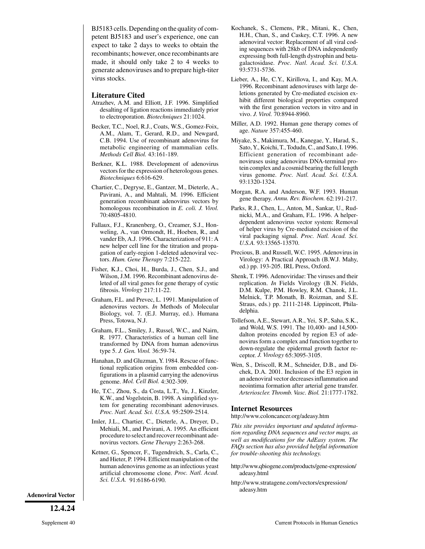BJ5183 cells. Depending on the quality of competent BJ5183 and user's experience, one can expect to take 2 days to weeks to obtain the recombinants; however, once recombinants are made, it should only take 2 to 4 weeks to generate adenoviruses and to prepare high-titer virus stocks.

#### **Literature Cited**

- Atrazhev, A.M. and Elliott, J.F. 1996. Simplified desalting of ligation reactions immediately prior to electroporation. *Biotechniques* 21:1024.
- Becker, T.C., Noel, R.J., Coats, W.S., Gomez-Foix, A.M., Alam, T., Gerard, R.D., and Newgard, C.B. 1994. Use of recombinant adenovirus for metabolic engineering of mammalian cells. *Methods Cell Biol.* 43:161-189.
- Berkner, K.L. 1988. Development of adenovirus vectors for the expression of heterologous genes. *Biotechniques* 6:616-629.
- Chartier, C., Degryse, E., Gantzer, M., Dieterle, A., Pavirani, A., and Mahtali, M. 1996. Efficient generation recombinant adenovirus vectors by homologous recombination in *E. coli. J. Virol.* 70:4805-4810.
- Fallaux, F.J., Kranenberg, O., Creamer, S.J., Honweling, A., van Ormondt, H., Hoeben, R., and vander Eb, A.J. 1996. Characterization of 911: A new helper cell line for the titration and propagation of early-region 1-deleted adenoviral vectors. *Hum. Gene Therapy* 7:215-222.
- Fisher, K.J., Choi, H., Burda, J., Chen, S.J., and Wilson, J.M. 1996. Recombinant adenovirus deleted of all viral genes for gene therapy of cystic fibrosis. *Virology* 217:11-22.
- Graham, F.L. and Prevec, L. 1991. Manipulation of adenovirus vectors. *In* Methods of Molecular Biology, vol. 7. (E.J. Murray, ed.). Humana Press, Totowa, N.J.
- Graham, F.L., Smiley, J., Russel, W.C., and Nairn, R. 1977. Characteristics of a human cell line transformed by DNA from human adenovirus type 5. *J. Gen. Virol.* 36:59-74.
- Hanahan, D. and Gluzman, Y. 1984. Rescue of functional replication origins from embedded configurations in a plasmid carrying the adenovirus genome. *Mol. Cell Biol.* 4:302-309.
- He, T.C., Zhou, S., da Costa, L.T., Yu, J., Kinzler, K.W., and Vogelstein, B. 1998. A simplified system for generating recombinant adenoviruses. *Proc. Natl. Acad. Sci. U.S.A.* 95:2509-2514.
- Imler, J.L., Chartier, C., Dieterle, A., Dreyer, D., Mehiali, M., and Pavirani, A. 1995. An efficient procedure to select and recover recombinant adenovirus vectors. *Gene Therapy* 2:263-268.
- Ketner, G., Spencer, F., Tugendreich, S., Carla, C., and Hieter, P. 1994. Efficient manipulation of the human adenovirus genome as an infectious yeast artificial chromosome clone. *Proc. Natl. Acad. Sci. U.S.A.* 91:6186-6190.
- Kochanek, S., Clemens, P.R., Mitani, K., Chen, H.H., Chan, S., and Caskey, C.T. 1996. A new adenoviral vector: Replacement of all viral coding sequences with 28kb of DNA independently expressing both full-length dystrophin and betagalactosidase. *Proc. Natl. Acad. Sci. U.S.A.* 93:5731-5736.
- Lieber, A., He, C.Y., Kirillova, I., and Kay, M.A. 1996. Recombinant adenoviruses with large deletions generated by Cre-mediated excision exhibit different biological properties compared with the first generation vectors in vitro and in vivo. *J. Virol.* 70:8944-8960.
- Miller, A.D. 1992. Human gene therapy comes of age. *Nature* 357:455-460.
- Miyake, S., Makimura, M., Kanegae, Y., Harad, S., Sato, Y., Koichi, T., Todudn, C., and Sato, I. 1996. Efficient generation of recombinant adenoviruses using adenovirus DNA-terminal protein complex and a cosmid bearing the full length virus genome. *Proc. Natl. Acad. Sci. U.S.A.* 93:1320-1324.
- Morgan, R.A. and Anderson, W.F. 1993. Human gene therapy. *Annu. Rev. Biochem.* 62:191-217.
- Parks, R.J., Chen, L., Anton, M., Sankar, U., Rudnicki, M.A., and Graham, F.L. 1996. A helperdependent adenovirus vector system: Removal of helper virus by Cre-mediated excision of the viral packaging signal. *Proc. Natl. Acad. Sci. U.S.A.* 93:13565-13570.
- Precious, B. and Russell, W.C. 1995. Adenovirus in Virology: A Practical Approach (B.W.J. Mahy, ed.) pp. 193-205. IRL Press, Oxford.
- Shenk, T. 1996. Adenoviridae: The viruses and their replication. *In* Fields Virology (B.N. Fields, D.M. Kulpe, P.M. Howley, R.M. Chanok, J.L. Melnick, T.P. Monath, B. Roizman, and S.E. Straus, eds.) pp. 2111-2148. Lippincott, Philadelphia.
- Tollefson, A.E., Stewart, A.R., Yei, S.P., Saha, S.K., and Wold, W.S. 1991. The 10,400- and 14,500 dalton proteins encoded by region E3 of adenovirus form a complex and function together to down-regulate the epidermal growth factor receptor. *J. Virology* 65:3095-3105.
- Wen, S., Driscoll, R.M., Schneider, D.B., and Dichek, D.A. 2001. Inclusion of the E3 region in an adenoviral vector decreases inflammation and neointima formation after arterial gene transfer. *Arterioscler. Thromb. Vasc. Biol.* 21:1777-1782.

#### **Internet Resources**

http://www.coloncancer.org/adeasy.htm

*This site provides important and updated information regarding DNA sequences and vector maps, as well as modifications for the AdEasy system. The FAQs section has also provided helpful information for trouble-shooting this technology.*

- http://www.qbiogene.com/products/gene-expression/ adeasy.html
- http://www.stratagene.com/vectors/expression/ adeasy.htm

**Adenoviral Vector**